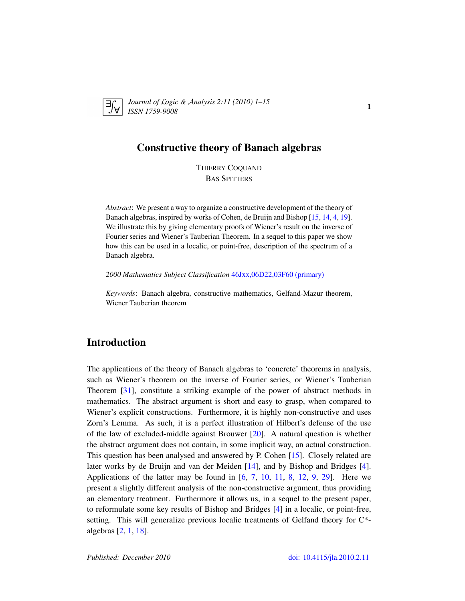

*Journal of* L*ogic &* A*nalysis 2:11 (2010) 1–15 ISSN 1759-9008* 1

### Constructive theory of Banach algebras

THIERRY COQUAND BAS SPITTERS

*Abstract*: We present a way to organize a constructive development of the theory of Banach algebras, inspired by works of Cohen, de Bruijn and Bishop [\[15,](#page-13-0) [14,](#page-13-1) [4,](#page-12-0) [19\]](#page-13-2). We illustrate this by giving elementary proofs of Wiener's result on the inverse of Fourier series and Wiener's Tauberian Theorem. In a sequel to this paper we show how this can be used in a localic, or point-free, description of the spectrum of a Banach algebra.

*2000 Mathematics Subject Classification* [46Jxx,06D22,03F60 \(primary\)](http://www.ams.org/mathscinet/search/mscdoc.html?code=46Jxx,06D22,03F60)

*Keywords*: Banach algebra, constructive mathematics, Gelfand-Mazur theorem, Wiener Tauberian theorem

## Introduction

The applications of the theory of Banach algebras to 'concrete' theorems in analysis, such as Wiener's theorem on the inverse of Fourier series, or Wiener's Tauberian Theorem [\[31\]](#page-14-0), constitute a striking example of the power of abstract methods in mathematics. The abstract argument is short and easy to grasp, when compared to Wiener's explicit constructions. Furthermore, it is highly non-constructive and uses Zorn's Lemma. As such, it is a perfect illustration of Hilbert's defense of the use of the law of excluded-middle against Brouwer  $[20]$ . A natural question is whether the abstract argument does not contain, in some implicit way, an actual construction. This question has been analysed and answered by P. Cohen [\[15\]](#page-13-0). Closely related are later works by de Bruijn and van der Meiden [\[14\]](#page-13-1), and by Bishop and Bridges [\[4\]](#page-12-0). Applications of the latter may be found in  $[6, 7, 10, 11, 8, 12, 9, 29]$  $[6, 7, 10, 11, 8, 12, 9, 29]$  $[6, 7, 10, 11, 8, 12, 9, 29]$  $[6, 7, 10, 11, 8, 12, 9, 29]$  $[6, 7, 10, 11, 8, 12, 9, 29]$  $[6, 7, 10, 11, 8, 12, 9, 29]$  $[6, 7, 10, 11, 8, 12, 9, 29]$  $[6, 7, 10, 11, 8, 12, 9, 29]$  $[6, 7, 10, 11, 8, 12, 9, 29]$  $[6, 7, 10, 11, 8, 12, 9, 29]$  $[6, 7, 10, 11, 8, 12, 9, 29]$  $[6, 7, 10, 11, 8, 12, 9, 29]$  $[6, 7, 10, 11, 8, 12, 9, 29]$  $[6, 7, 10, 11, 8, 12, 9, 29]$  $[6, 7, 10, 11, 8, 12, 9, 29]$ . Here we present a slightly different analysis of the non-constructive argument, thus providing an elementary treatment. Furthermore it allows us, in a sequel to the present paper, to reformulate some key results of Bishop and Bridges [\[4\]](#page-12-0) in a localic, or point-free, setting. This will generalize previous localic treatments of Gelfand theory for C\* algebras [\[2,](#page-12-2) [1,](#page-12-3) [18\]](#page-13-10).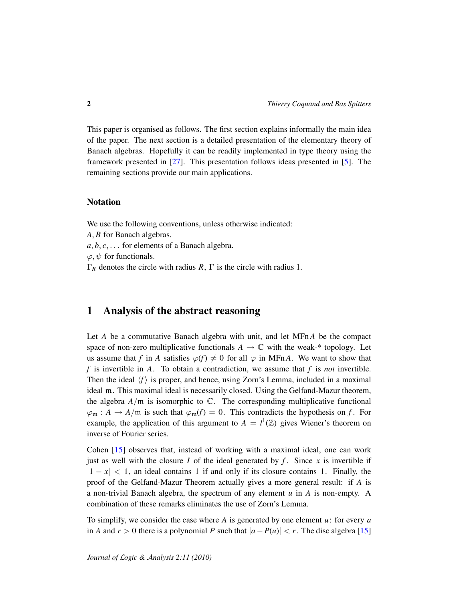This paper is organised as follows. The first section explains informally the main idea of the paper. The next section is a detailed presentation of the elementary theory of Banach algebras. Hopefully it can be readily implemented in type theory using the framework presented in [\[27\]](#page-14-2). This presentation follows ideas presented in [\[5\]](#page-12-4). The remaining sections provide our main applications.

### Notation

We use the following conventions, unless otherwise indicated:

*A*, *B* for Banach algebras.

 $a, b, c, \ldots$  for elements of a Banach algebra.

 $\varphi, \psi$  for functionals.

 $\Gamma_R$  denotes the circle with radius *R*,  $\Gamma$  is the circle with radius 1.

### 1 Analysis of the abstract reasoning

Let *A* be a commutative Banach algebra with unit, and let MFn *A* be the compact space of non-zero multiplicative functionals  $A \to \mathbb{C}$  with the weak-\* topology. Let us assume that *f* in *A* satisfies  $\varphi(f) \neq 0$  for all  $\varphi$  in MFn *A*. We want to show that *f* is invertible in *A*. To obtain a contradiction, we assume that *f* is *not* invertible. Then the ideal  $\langle f \rangle$  is proper, and hence, using Zorn's Lemma, included in a maximal ideal m. This maximal ideal is necessarily closed. Using the Gelfand-Mazur theorem, the algebra  $A/\mathfrak{m}$  is isomorphic to  $\mathbb{C}$ . The corresponding multiplicative functional  $\varphi_m : A \to A/\mathfrak{m}$  is such that  $\varphi_m(f) = 0$ . This contradicts the hypothesis on *f*. For example, the application of this argument to  $A = l^1(\mathbb{Z})$  gives Wiener's theorem on inverse of Fourier series.

Cohen [\[15\]](#page-13-0) observes that, instead of working with a maximal ideal, one can work just as well with the closure *I* of the ideal generated by  $f$ . Since  $x$  is invertible if  $|1 - x| < 1$ , an ideal contains 1 if and only if its closure contains 1. Finally, the proof of the Gelfand-Mazur Theorem actually gives a more general result: if *A* is a non-trivial Banach algebra, the spectrum of any element *u* in *A* is non-empty. A combination of these remarks eliminates the use of Zorn's Lemma.

To simplify, we consider the case where *A* is generated by one element *u*: for every *a* in *A* and  $r > 0$  there is a polynomial *P* such that  $|a - P(u)| < r$ . The disc algebra [\[15\]](#page-13-0)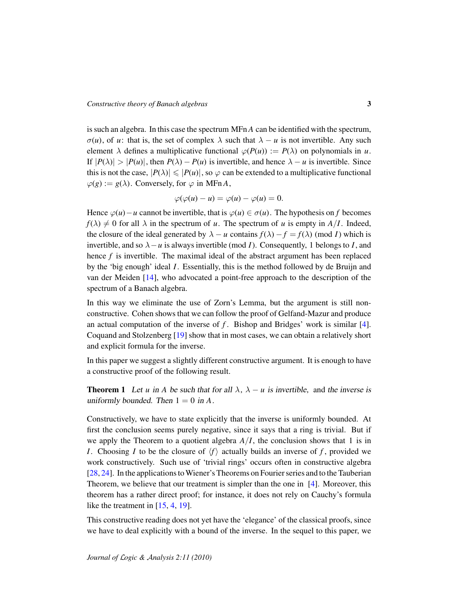is such an algebra. In this case the spectrum MFn *A* can be identified with the spectrum,  $\sigma(u)$ , of *u*: that is, the set of complex  $\lambda$  such that  $\lambda - u$  is not invertible. Any such element  $\lambda$  defines a multiplicative functional  $\varphi(P(u)) := P(\lambda)$  on polynomials in *u*. If  $|P(\lambda)| > |P(u)|$ , then  $P(\lambda) - P(u)$  is invertible, and hence  $\lambda - u$  is invertible. Since this is not the case,  $|P(\lambda)| \leq |P(u)|$ , so  $\varphi$  can be extended to a multiplicative functional  $\varphi(g) := g(\lambda)$ . Conversely, for  $\varphi$  in MFnA,

$$
\varphi(\varphi(u)-u)=\varphi(u)-\varphi(u)=0.
$$

Hence  $\varphi(u) - u$  cannot be invertible, that is  $\varphi(u) \in \sigma(u)$ . The hypothesis on f becomes  $f(\lambda) \neq 0$  for all  $\lambda$  in the spectrum of *u*. The spectrum of *u* is empty in  $A/I$ . Indeed, the closure of the ideal generated by  $\lambda - u$  contains  $f(\lambda) - f = f(\lambda)$  (mod *I*) which is invertible, and so  $\lambda - u$  is always invertible (mod *I*). Consequently, 1 belongs to *I*, and hence *f* is invertible. The maximal ideal of the abstract argument has been replaced by the 'big enough' ideal *I*. Essentially, this is the method followed by de Bruijn and van der Meiden [\[14\]](#page-13-1), who advocated a point-free approach to the description of the spectrum of a Banach algebra.

In this way we eliminate the use of Zorn's Lemma, but the argument is still nonconstructive. Cohen shows that we can follow the proof of Gelfand-Mazur and produce an actual computation of the inverse of *f* . Bishop and Bridges' work is similar [\[4\]](#page-12-0). Coquand and Stolzenberg [\[19\]](#page-13-2) show that in most cases, we can obtain a relatively short and explicit formula for the inverse.

In this paper we suggest a slightly different constructive argument. It is enough to have a constructive proof of the following result.

**Theorem 1** Let *u* in *A* be such that for all  $\lambda$ ,  $\lambda - u$  is invertible, and the inverse is uniformly bounded. Then  $1 = 0$  in A.

Constructively, we have to state explicitly that the inverse is uniformly bounded. At first the conclusion seems purely negative, since it says that a ring is trivial. But if we apply the Theorem to a quotient algebra  $A/I$ , the conclusion shows that 1 is in *I*. Choosing *I* to be the closure of  $\langle f \rangle$  actually builds an inverse of *f*, provided we work constructively. Such use of 'trivial rings' occurs often in constructive algebra [\[28,](#page-14-3) [24\]](#page-13-11). In the applications toWiener's Theorems on Fourier series and to the Tauberian Theorem, we believe that our treatment is simpler than the one in [\[4\]](#page-12-0). Moreover, this theorem has a rather direct proof; for instance, it does not rely on Cauchy's formula like the treatment in [\[15,](#page-13-0) [4,](#page-12-0) [19\]](#page-13-2).

This constructive reading does not yet have the 'elegance' of the classical proofs, since we have to deal explicitly with a bound of the inverse. In the sequel to this paper, we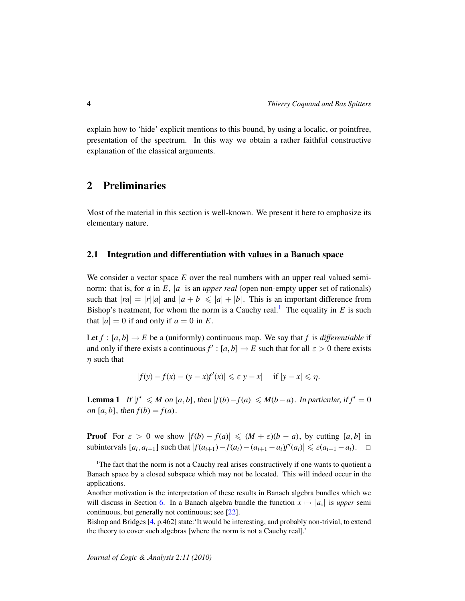explain how to 'hide' explicit mentions to this bound, by using a localic, or pointfree, presentation of the spectrum. In this way we obtain a rather faithful constructive explanation of the classical arguments.

## 2 Preliminaries

Most of the material in this section is well-known. We present it here to emphasize its elementary nature.

#### 2.1 Integration and differentiation with values in a Banach space

We consider a vector space *E* over the real numbers with an upper real valued seminorm: that is, for *a* in *E*, |*a*| is an *upper real* (open non-empty upper set of rationals) such that  $|ra| = |r||a|$  and  $|a + b| \le |a| + |b|$ . This is an important difference from Bishop's treatment, for whom the norm is a Cauchy real.<sup>[1](#page-3-0)</sup> The equality in  $E$  is such that  $|a| = 0$  if and only if  $a = 0$  in E.

Let  $f : [a, b] \rightarrow E$  be a (uniformly) continuous map. We say that f is differentiable if and only if there exists a continuous  $f' : [a, b] \to E$  such that for all  $\varepsilon > 0$  there exists  $\eta$  such that

$$
|f(y) - f(x) - (y - x)f'(x)| \leq \varepsilon |y - x| \quad \text{if } |y - x| \leq \eta.
$$

<span id="page-3-1"></span>**Lemma 1** If  $|f'| \leq M$  on  $[a, b]$ , then  $|f(b) - f(a)| \leq M(b - a)$ . In particular, if  $f' = 0$ on  $[a, b]$ , then  $f(b) = f(a)$ .

**Proof** For  $\varepsilon > 0$  we show  $|f(b) - f(a)| \leq (M + \varepsilon)(b - a)$ , by cutting [a, b] in subintervals  $[a_i, a_{i+1}]$  such that  $|f(a_{i+1}) - f(a_i) - (a_{i+1} - a_i)f'(a_i)| \leq \varepsilon (a_{i+1} - a_i)$ .

<span id="page-3-0"></span><sup>&</sup>lt;sup>1</sup>The fact that the norm is not a Cauchy real arises constructively if one wants to quotient a Banach space by a closed subspace which may not be located. This will indeed occur in the applications.

Another motivation is the interpretation of these results in Banach algebra bundles which we will discuss in Section [6.](#page-12-5) In a Banach algebra bundle the function  $x \mapsto |a_x|$  is *upper* semi continuous, but generally not continuous; see [\[22\]](#page-13-12).

Bishop and Bridges [\[4,](#page-12-0) p.462] state:'It would be interesting, and probably non-trivial, to extend the theory to cover such algebras [where the norm is not a Cauchy real].'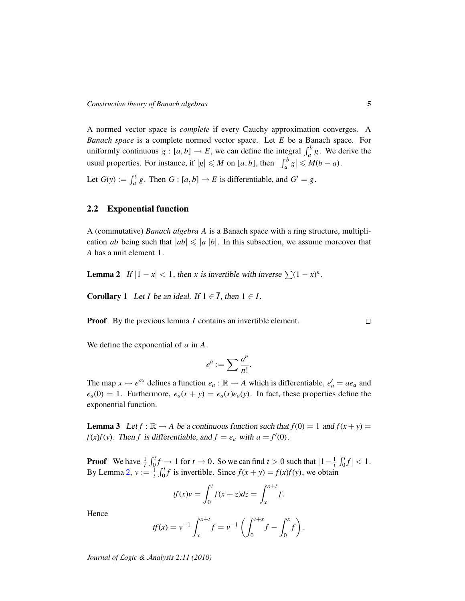A normed vector space is *complete* if every Cauchy approximation converges. A *Banach space* is a complete normed vector space. Let *E* be a Banach space. For uniformly continuous  $g : [a, b] \to E$ , we can define the integral  $\int_a^b g$ . We derive the usual properties. For instance, if  $|g| \le M$  on  $[a, b]$ , then  $|\int_a^b g| \le M(b - a)$ .

Let  $G(y) := \int_a^y g$ . Then  $G : [a, b] \to E$  is differentiable, and  $G' = g$ .

### 2.2 Exponential function

A (commutative) *Banach algebra A* is a Banach space with a ring structure, multiplication *ab* being such that  $|ab| \leq |a||b|$ . In this subsection, we assume moreover that *A* has a unit element 1.

<span id="page-4-0"></span>**Lemma 2** If  $|1 - x| < 1$ , then *x* is invertible with inverse  $\sum (1 - x)^n$ .

<span id="page-4-1"></span>**Corollary 1** Let *I* be an ideal. If  $1 \in \overline{I}$ , then  $1 \in I$ .

**Proof** By the previous lemma *I* contains an invertible element.

We define the exponential of *a* in *A*.

$$
e^a := \sum \frac{a^n}{n!}.
$$

The map  $x \mapsto e^{ax}$  defines a function  $e_a : \mathbb{R} \to A$  which is differentiable,  $e'_a = ae_a$  and  $e_a(0) = 1$ . Furthermore,  $e_a(x + y) = e_a(x)e_a(y)$ . In fact, these properties define the exponential function.

<span id="page-4-2"></span>**Lemma 3** Let  $f : \mathbb{R} \to A$  be a continuous function such that  $f(0) = 1$  and  $f(x + y) =$ *f*(*x*)*f*(*y*). Then *f* is differentiable, and  $f = e_a$  with  $a = f'(0)$ .

**Proof** We have  $\frac{1}{t} \int_0^t f \to 1$  for  $t \to 0$ . So we can find  $t > 0$  such that  $|1 - \frac{1}{t} \int_0^t f| < 1$ . By Lemma [2,](#page-4-0)  $v := \frac{1}{t} \int_0^t f$  is invertible. Since  $f(x + y) = f(x)f(y)$ , we obtain

$$
tf(x)v = \int_0^t f(x+z)dz = \int_x^{x+t} f.
$$

Hence

$$
tf(x) = v^{-1} \int_{x}^{x+t} f = v^{-1} \left( \int_{0}^{t+x} f - \int_{0}^{x} f \right).
$$

*Journal of* L*ogic &* A*nalysis 2:11 (2010)*

 $\Box$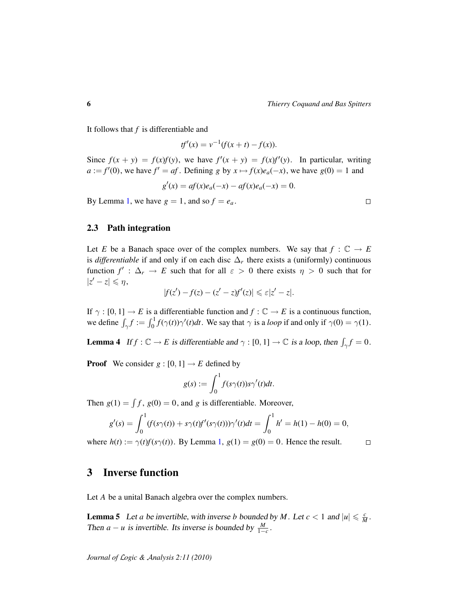It follows that *f* is differentiable and

$$
tf'(x) = v^{-1}(f(x + t) - f(x)).
$$

Since  $f(x + y) = f(x)f(y)$ , we have  $f'(x + y) = f(x)f'(y)$ . In particular, writing  $a := f'(0)$ , we have  $f' = af$ . Defining *g* by  $x \mapsto f(x)e_a(-x)$ , we have  $g(0) = 1$  and

$$
g'(x) = af(x)e_a(-x) - af(x)e_a(-x) = 0.
$$

By Lemma [1,](#page-3-1) we have  $g = 1$ , and so  $f = e_a$ .

#### 2.3 Path integration

Let *E* be a Banach space over of the complex numbers. We say that  $f : \mathbb{C} \to E$ is *differentiable* if and only if on each disc  $\Delta_r$  there exists a (uniformly) continuous function  $f' : \Delta_r \to E$  such that for all  $\varepsilon > 0$  there exists  $\eta > 0$  such that for  $|z'-z|\leqslant \eta,$ 

$$
|f(z') - f(z) - (z' - z)f'(z)| \leqslant \varepsilon |z' - z|.
$$

If  $\gamma : [0, 1] \to E$  is a differentiable function and  $f : \mathbb{C} \to E$  is a continuous function, we define  $\int_{\gamma} f := \int_0^1 f(\gamma(t))\gamma'(t)dt$ . We say that  $\gamma$  is a *loop* if and only if  $\gamma(0) = \gamma(1)$ .

<span id="page-5-0"></span>**Lemma 4** If  $f : \mathbb{C} \to E$  is differentiable and  $\gamma : [0, 1] \to \mathbb{C}$  is a loop, then  $\int_{\gamma} f = 0$ .

**Proof** We consider  $g : [0, 1] \rightarrow E$  defined by

$$
g(s) := \int_0^1 f(s\gamma(t))s\gamma'(t)dt.
$$

Then  $g(1) = \int f$ ,  $g(0) = 0$ , and *g* is differentiable. Moreover,

$$
g'(s) = \int_0^1 (f(s\gamma(t)) + s\gamma(t)f'(s\gamma(t)))\gamma'(t)dt = \int_0^1 h' = h(1) - h(0) = 0,
$$

where  $h(t) := \gamma(t)f(s\gamma(t))$ . By Lemma [1,](#page-3-1)  $g(1) = g(0) = 0$ . Hence the result.  $\Box$ 

# 3 Inverse function

Let *A* be a unital Banach algebra over the complex numbers.

<span id="page-5-1"></span>**Lemma 5** Let *a* be invertible, with inverse *b* bounded by *M*. Let  $c < 1$  and  $|u| \leq \frac{c}{M}$  $\frac{c}{M}$  . Then *a* − *u* is invertible. Its inverse is bounded by  $\frac{M}{1-c}$ .

 $\Box$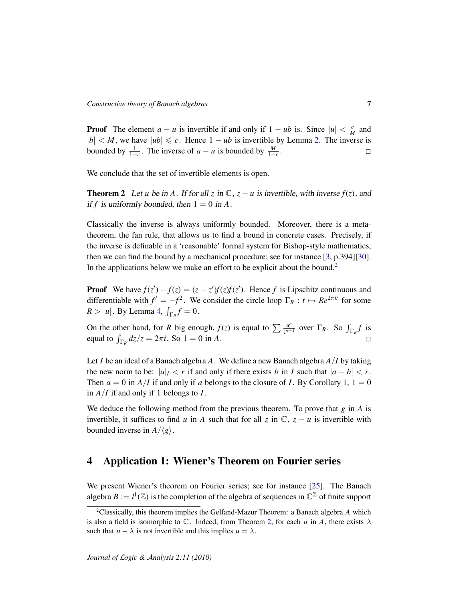**Proof** The element  $a - u$  is invertible if and only if  $1 - ub$  is. Since  $|u| < \frac{c}{h}$  $\frac{c}{M}$  and  $|b| < M$ , we have  $|ub| \leq c$ . Hence  $1 - ub$  is invertible by Lemma [2.](#page-4-0) The inverse is bounded by  $\frac{1}{1-c}$ . The inverse of *a* − *u* is bounded by  $\frac{M}{1-c}$ .  $\Box$ 

We conclude that the set of invertible elements is open.

<span id="page-6-1"></span>**Theorem 2** Let *u* be in A. If for all *z* in  $\mathbb{C}$ ,  $z - u$  is invertible, with inverse  $f(z)$ , and if f is uniformly bounded, then  $1 = 0$  in A.

Classically the inverse is always uniformly bounded. Moreover, there is a metatheorem, the fan rule, that allows us to find a bound in concrete cases. Precisely, if the inverse is definable in a 'reasonable' formal system for Bishop-style mathematics, then we can find the bound by a mechanical procedure; see for instance [\[3,](#page-12-6) p.394][\[30\]](#page-14-4). In the applications below we make an effort to be explicit about the bound.<sup>[2](#page-6-0)</sup>

**Proof** We have  $f(z') - f(z) = (z - z')f(z)f(z')$ . Hence *f* is Lipschitz continuous and differentiable with  $f' = -f^2$ . We consider the circle loop  $\Gamma_R : t \mapsto Re^{2\pi i t}$  for some  $R > |u|$ . By Lemma [4,](#page-5-0)  $\int_{\Gamma_R} f = 0$ .

On the other hand, for *R* big enough,  $f(z)$  is equal to  $\sum_{n=1}^{\infty} \frac{u^n}{n!}$  $\frac{u^n}{z^{n+1}}$  over  $\Gamma_R$ . So  $\int_{\Gamma_R} f$  is equal to  $\int_{\Gamma_R} dz/z = 2\pi i$ . So  $1 = 0$  in *A*.

Let *I* be an ideal of a Banach algebra *A*. We define a new Banach algebra *A*/*I* by taking the new norm to be:  $|a|_I < r$  if and only if there exists *b* in *I* such that  $|a - b| < r$ . Then  $a = 0$  in  $A/I$  if and only if *a* belongs to the closure of *I*. By Corollary [1,](#page-4-1)  $1 = 0$ in *A*/*I* if and only if 1 belongs to *I*.

We deduce the following method from the previous theorem. To prove that *g* in *A* is invertible, it suffices to find *u* in *A* such that for all *z* in  $\mathbb{C}$ , *z* − *u* is invertible with bounded inverse in  $A/\langle g \rangle$ .

# 4 Application 1: Wiener's Theorem on Fourier series

We present Wiener's theorem on Fourier series; see for instance [\[25\]](#page-14-5). The Banach algebra  $B := l^1(\mathbb{Z})$  is the completion of the algebra of sequences in  $\mathbb{C}^{\mathbb{Z}}$  of finite support

<span id="page-6-0"></span><sup>2</sup>Classically, this theorem implies the Gelfand-Mazur Theorem: a Banach algebra *A* which is also a field is isomorphic to  $\mathbb C$ . Indeed, from Theorem [2,](#page-6-1) for each *u* in *A*, there exists  $\lambda$ such that  $u - \lambda$  is not invertible and this implies  $u = \lambda$ .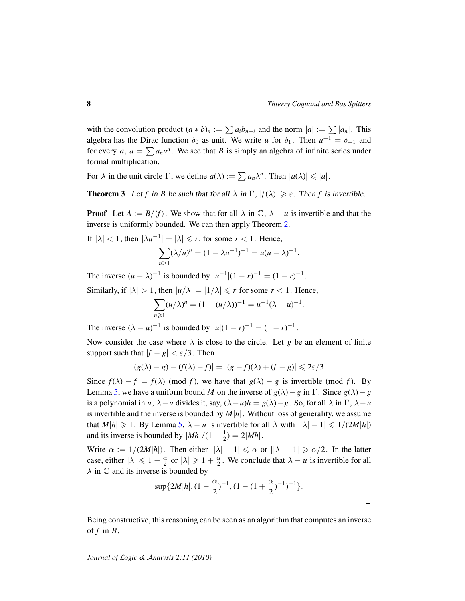with the convolution product  $(a * b)_n := \sum a_i b_{n-i}$  and the norm  $|a| := \sum |a_n|$ . This algebra has the Dirac function  $\delta_0$  as unit. We write *u* for  $\delta_1$ . Then  $u^{-1} = \delta_{-1}$  and for every *a*,  $a = \sum a_n u^n$ . We see that *B* is simply an algebra of infinite series under formal multiplication.

For  $\lambda$  in the unit circle  $\Gamma$ , we define  $a(\lambda) := \sum a_n \lambda^n$ . Then  $|a(\lambda)| \leq |a|$ .

**Theorem 3** Let *f* in *B* be such that for all  $\lambda$  in  $\Gamma$ ,  $|f(\lambda)| \ge \varepsilon$ . Then *f* is invertible.

**Proof** Let  $A := B/\langle f \rangle$ . We show that for all  $\lambda$  in  $\mathbb{C}, \lambda - u$  is invertible and that the inverse is uniformly bounded. We can then apply Theorem [2.](#page-6-1)

If  $|\lambda| < 1$ , then  $|\lambda u^{-1}| = |\lambda| \le r$ , for some  $r < 1$ . Hence,  $\sum$ *n*≥1  $(\lambda/u)^n = (1 - \lambda u^{-1})^{-1} = u(u - \lambda)^{-1}.$ 

The inverse  $(u - \lambda)^{-1}$  is bounded by  $|u^{-1}|(1 - r)^{-1} = (1 - r)^{-1}$ .

Similarly, if  $|\lambda| > 1$ , then  $|u/\lambda| = |1/\lambda| \le r$  for some  $r < 1$ . Hence,

$$
\sum_{n\geqslant 1} (u/\lambda)^n = (1 - (u/\lambda))^{-1} = u^{-1}(\lambda - u)^{-1}.
$$

The inverse  $(\lambda - u)^{-1}$  is bounded by  $|u|(1 - r)^{-1} = (1 - r)^{-1}$ .

Now consider the case where  $\lambda$  is close to the circle. Let *g* be an element of finite support such that  $|f - g| < \varepsilon/3$ . Then

$$
|(g(\lambda)-g)-(f(\lambda)-f)|=|(g-f)(\lambda)+(f-g)|\leq 2\varepsilon/3.
$$

Since  $f(\lambda) - f = f(\lambda) \pmod{f}$ , we have that  $g(\lambda) - g$  is invertible (mod *f*). By Lemma [5,](#page-5-1) we have a uniform bound *M* on the inverse of  $g(\lambda) - g$  in  $\Gamma$ . Since  $g(\lambda) - g$ is a polynomial in *u*,  $\lambda - u$  divides it, say,  $(\lambda - u)h = g(\lambda) - g$ . So, for all  $\lambda$  in  $\Gamma$ ,  $\lambda - u$ is invertible and the inverse is bounded by *M*|*h*|. Without loss of generality, we assume that  $M|h| \ge 1$ . By Lemma [5,](#page-5-1)  $\lambda - u$  is invertible for all  $\lambda$  with  $||\lambda| - 1| \le 1/(2M|h|)$ and its inverse is bounded by  $|Mh|/(1 - \frac{1}{2})$  $\frac{1}{2}$ ) = 2|*Mh*|.

Write  $\alpha := 1/(2M|h|)$ . Then either  $||\lambda| - 1| \le \alpha$  or  $||\lambda| - 1| \ge \alpha/2$ . In the latter case, either  $|\lambda| \leq 1 - \frac{\alpha}{2}$  $\frac{\alpha}{2}$  or  $|\lambda| \geqslant 1 + \frac{\alpha}{2}$  $\frac{\alpha}{2}$ . We conclude that  $\lambda - u$  is invertible for all  $\lambda$  in  $\mathbb C$  and its inverse is bounded by

$$
\sup\{2M|h|,(1-\frac{\alpha}{2})^{-1},(1-(1+\frac{\alpha}{2})^{-1})^{-1}\}.
$$

Being constructive, this reasoning can be seen as an algorithm that computes an inverse of  $f$  in  $B$ .

*Journal of* L*ogic &* A*nalysis 2:11 (2010)*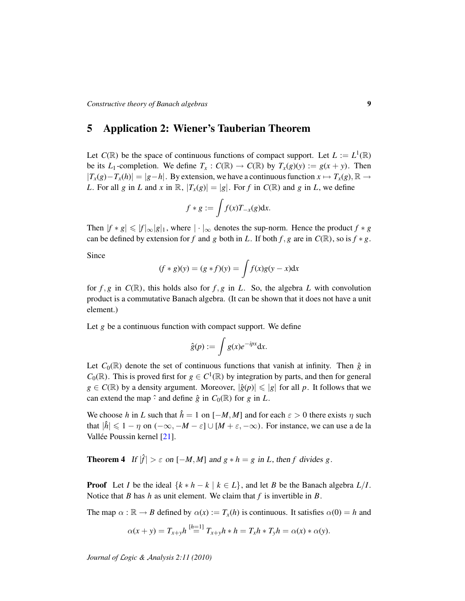### 5 Application 2: Wiener's Tauberian Theorem

Let  $C(\mathbb{R})$  be the space of continuous functions of compact support. Let  $L := L^1(\mathbb{R})$ be its *L*<sub>1</sub>-completion. We define  $T_x$ :  $C(\mathbb{R}) \to C(\mathbb{R})$  by  $T_x(g)(y) := g(x + y)$ . Then  $|T_x(g) - T_x(h)| = |g-h|$ . By extension, we have a continuous function  $x \mapsto T_x(g)$ , ℝ → *L*. For all *g* in *L* and *x* in  $\mathbb{R}$ ,  $|T_x(g)| = |g|$ . For *f* in  $C(\mathbb{R})$  and *g* in *L*, we define

$$
f * g := \int f(x) T_{-x}(g) dx.
$$

Then  $|f * g| \le |f|_{\infty} |g|_1$ , where  $|\cdot|_{\infty}$  denotes the sup-norm. Hence the product  $f * g$ can be defined by extension for *f* and *g* both in *L*. If both *f*, *g* are in  $C(\mathbb{R})$ , so is  $f * g$ .

Since

$$
(f * g)(y) = (g * f)(y) = \int f(x)g(y - x)dx
$$

for  $f, g$  in  $C(\mathbb{R})$ , this holds also for  $f, g$  in  $L$ . So, the algebra  $L$  with convolution product is a commutative Banach algebra. (It can be shown that it does not have a unit element.)

Let *g* be a continuous function with compact support. We define

$$
\hat{g}(p) := \int g(x)e^{-ipx}dx.
$$

Let  $C_0(\mathbb{R})$  denote the set of continuous functions that vanish at infinity. Then  $\hat{g}$  in  $C_0(\mathbb{R})$ . This is proved first for  $g \in C^1(\mathbb{R})$  by integration by parts, and then for general  $g \in C(\mathbb{R})$  by a density argument. Moreover,  $|\hat{g}(p)| \leq |g|$  for all p. It follows that we can extend the map  $\hat{\cdot}$  and define  $\hat{g}$  in  $C_0(\mathbb{R})$  for  $g$  in  $L$ .

We choose *h* in *L* such that  $\hat{h} = 1$  on  $[-M, M]$  and for each  $\varepsilon > 0$  there exists  $\eta$  such that  $|\hat{h}| \leq 1 - \eta$  on  $(-\infty, -M - \varepsilon] \cup [M + \varepsilon, -\infty)$ . For instance, we can use a de la Vallée Poussin kernel [[21\]](#page-13-13).

**Theorem 4** If  $|\hat{f}| > \varepsilon$  on  $[-M, M]$  and  $g * h = g$  in *L*, then *f* divides *g*.

**Proof** Let *I* be the ideal  $\{k * h - k \mid k \in L\}$ , and let *B* be the Banach algebra  $L/I$ . Notice that *B* has *h* as unit element. We claim that *f* is invertible in *B*.

The map  $\alpha : \mathbb{R} \to B$  defined by  $\alpha(x) := T_x(h)$  is continuous. It satisfies  $\alpha(0) = h$  and

$$
\alpha(x + y) = T_{x+y}h^{[h=1]}T_{x+y}h * h = T_xh * T_yh = \alpha(x) * \alpha(y).
$$

*Journal of* L*ogic &* A*nalysis 2:11 (2010)*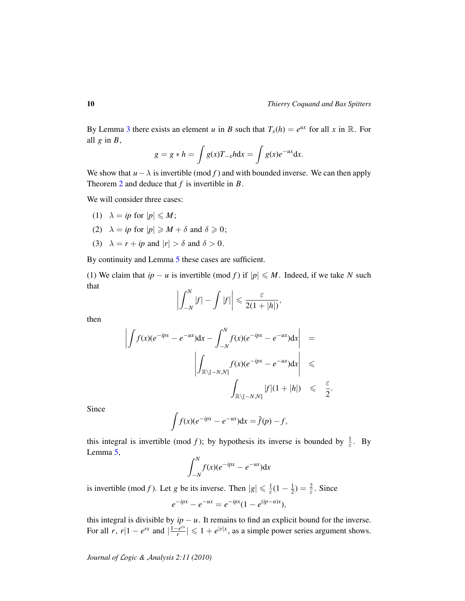By Lemma [3](#page-4-2) there exists an element *u* in *B* such that  $T_x(h) = e^{ux}$  for all *x* in R. For all  $g$  in  $B$ ,

$$
g = g * h = \int g(x) T_{-x} h \mathrm{d}x = \int g(x) e^{-ux} \mathrm{d}x.
$$

We show that  $u - \lambda$  is invertible (mod f) and with bounded inverse. We can then apply Theorem [2](#page-6-1) and deduce that *f* is invertible in *B*.

We will consider three cases:

- (1)  $\lambda = ip$  for  $|p| \leq M$ ;
- (2)  $\lambda = ip$  for  $|p| \ge M + \delta$  and  $\delta \ge 0$ ;
- (3)  $\lambda = r + ip$  and  $|r| > \delta$  and  $\delta > 0$ .

By continuity and Lemma [5](#page-5-1) these cases are sufficient.

(1) We claim that  $ip - u$  is invertible (mod *f*) if  $|p| \le M$ . Indeed, if we take *N* such that

$$
\left|\int_{-N}^{N} |f| - \int |f|\right| \leq \frac{\varepsilon}{2(1+|h|)},
$$

then

$$
\left| \int f(x)(e^{-ipx} - e^{-ux}) dx - \int_{-N}^{N} f(x)(e^{-ipx} - e^{-ux}) dx \right| =
$$
  

$$
\left| \int_{\mathbb{R} \setminus [-N,N]} f(x)(e^{-ipx} - e^{-ux}) dx \right| \le \frac{\varepsilon}{2}.
$$

Since

$$
\int f(x)(e^{-ipx}-e^{-ux})dx=\hat{f}(p)-f,
$$

this integral is invertible (mod *f*); by hypothesis its inverse is bounded by  $\frac{1}{\varepsilon}$ . By Lemma [5,](#page-5-1)

$$
\int_{-N}^{N} f(x)(e^{-ipx} - e^{-ux}) \mathrm{d}x
$$

is invertible (mod *f*). Let *g* be its inverse. Then  $|g| \le \frac{1}{\varepsilon}(1 - \frac{1}{2})$  $(\frac{1}{2}) = \frac{2}{\varepsilon}$ . Since  $e^{-ipx} - e^{-ux} = e^{-ipx}(1 - e^{(ip-u)x}),$ 

this integral is divisible by  $ip - u$ . It remains to find an explicit bound for the inverse. For all *r*,  $r|1 - e^{rx}$  and  $\frac{1 - e^{rx}}{r}$  $\left| \frac{e^{rx}}{r} \right| \leq 1 + e^{|r|x|}$ , as a simple power series argument shows.

*Journal of* L*ogic &* A*nalysis 2:11 (2010)*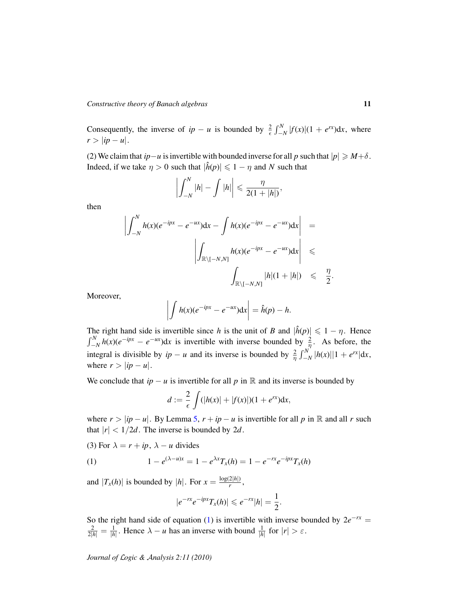Consequently, the inverse of  $ip - u$  is bounded by  $\frac{2}{\epsilon} \int_{-N}^{N} |f(x)| (1 + e^{rx}) dx$ , where  $r > |ip - u|.$ 

(2) We claim that *ip*−*u* is invertible with bounded inverse for all *p* such that  $|p| \ge M + \delta$ . Indeed, if we take  $\eta > 0$  such that  $|\hat{h}(p)| \leq 1 - \eta$  and *N* such that

$$
\left|\int_{-N}^{N}|h|-\int|h|\right|\leqslant\frac{\eta}{2(1+|h|)},
$$

then

$$
\left| \int_{-N}^{N} h(x)(e^{-ipx} - e^{-ux}) dx - \int h(x)(e^{-ipx} - e^{-ux}) dx \right| =
$$

$$
\left| \int_{\mathbb{R}\setminus[-N,N]} h(x)(e^{-ipx} - e^{-ux}) dx \right| \le \frac{1}{2}
$$

Moreover,

$$
\left| \int h(x)(e^{-ipx} - e^{-ux}) dx \right| = \hat{h}(p) - h.
$$

The right hand side is invertible since *h* is the unit of *B* and  $|\hat{h}(p)| \leq 1 - \eta$ . Hence  $\int_{-N}^{N} h(x)(e^{-ipx} - e^{-ux}) dx$  is invertible with inverse bounded by  $\frac{2}{\eta}$ . As before, the integral is divisible by  $ip - u$  and its inverse is bounded by  $\frac{2}{\eta} \int_{-N}^{N} |h(x)||1 + e^{rx}|dx$ , where  $r > |ip - u|$ .

We conclude that  $ip - u$  is invertible for all p in R and its inverse is bounded by

$$
d:=\frac{2}{\epsilon}\int (|h(x)|+|f(x)|)(1+e^{rx})\mathrm{d}x,
$$

where  $r > |ip - u|$ . By Lemma [5,](#page-5-1)  $r + ip - u$  is invertible for all p in R and all r such that  $|r| < 1/2d$ . The inverse is bounded by 2*d*.

(3) For  $\lambda = r + ip$ ,  $\lambda - u$  divides

(1) 
$$
1 - e^{(\lambda - u)x} = 1 - e^{\lambda x} T_x(h) = 1 - e^{-rx} e^{-ipx} T_x(h)
$$

and  $|T_x(h)|$  is bounded by  $|h|$ . For  $x = \frac{\log(2|h|)}{r}$  $\frac{z|n|}{r}$ ,

<span id="page-10-0"></span>
$$
|e^{-rx}e^{-ipx}T_x(h)|\leqslant e^{-rx}|h|=\frac{1}{2}.
$$

So the right hand side of equation [\(1\)](#page-10-0) is invertible with inverse bounded by  $2e^{-rx}$  =  $\frac{2}{2|h|} = \frac{1}{|h|}$ . Hence  $\lambda - u$  has an inverse with bound  $\frac{1}{|h|}$  for  $|r| > \varepsilon$ .

*Journal of* L*ogic &* A*nalysis 2:11 (2010)*

.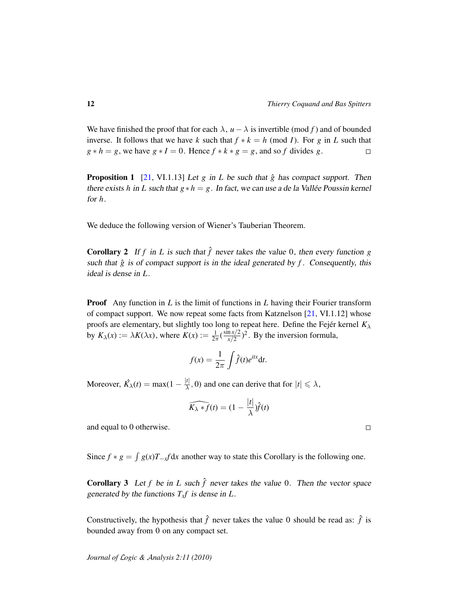We have finished the proof that for each  $\lambda$ ,  $u - \lambda$  is invertible (mod *f*) and of bounded inverse. It follows that we have *k* such that  $f * k = h \pmod{I}$ . For *g* in *L* such that  $g * h = g$ , we have  $g * I = 0$ . Hence  $f * k * g = g$ , and so *f* divides *g*.  $\Box$ 

**Proposition 1** [\[21,](#page-13-13) VI.1.13] Let *g* in *L* be such that  $\hat{g}$  has compact support. Then there exists *h* in *L* such that  $g * h = g$ . In fact, we can use a de la Vallée Poussin kernel for *h*.

We deduce the following version of Wiener's Tauberian Theorem.

**Corollary 2** If *f* in *L* is such that  $\hat{f}$  never takes the value 0, then every function *g* such that  $\hat{g}$  is of compact support is in the ideal generated by  $f$ . Consequently, this ideal is dense in *L*.

**Proof** Any function in *L* is the limit of functions in *L* having their Fourier transform of compact support. We now repeat some facts from Katznelson [\[21,](#page-13-13) VI.1.12] whose proofs are elementary, but slightly too long to repeat here. Define the Fejér kernel  $K_{\lambda}$ by  $K_{\lambda}(x) := \lambda K(\lambda x)$ , where  $K(x) := \frac{1}{2\pi} \left(\frac{\sin x/2}{x/2}\right)$  $\frac{\ln x/2}{x/2}$ <sup>2</sup>. By the inversion formula,

$$
f(x) = \frac{1}{2\pi} \int \hat{f}(t)e^{itx} dt.
$$

Moreover,  $\hat{K_{\lambda}}(t) = \max(1 - \frac{|t|}{\lambda})$  $\frac{|t|}{\lambda}$ , 0) and one can derive that for  $|t| \le \lambda$ ,

$$
\widehat{K_{\lambda}*f}(t)=(1-\frac{|t|}{\lambda})\widehat{f}(t)
$$

and equal to 0 otherwise.

Since  $f * g = \int g(x)T_{-x}f dx$  another way to state this Corollary is the following one.

**Corollary 3** Let f be in *L* such  $\hat{f}$  never takes the value 0. Then the vector space generated by the functions  $T_x f$  is dense in  $L$ .

Constructively, the hypothesis that  $\hat{f}$  never takes the value 0 should be read as:  $\hat{f}$  is bounded away from 0 on any compact set.

 $\Box$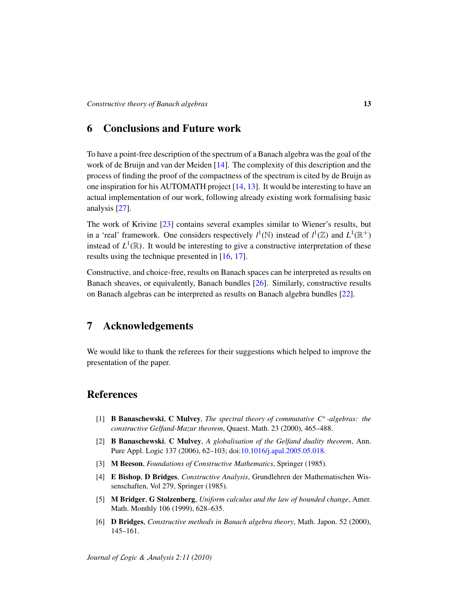### <span id="page-12-5"></span>6 Conclusions and Future work

To have a point-free description of the spectrum of a Banach algebra was the goal of the work of de Bruijn and van der Meiden [\[14\]](#page-13-1). The complexity of this description and the process of finding the proof of the compactness of the spectrum is cited by de Bruijn as one inspiration for his AUTOMATH project [\[14,](#page-13-1) [13\]](#page-13-14). It would be interesting to have an actual implementation of our work, following already existing work formalising basic analysis [\[27\]](#page-14-2).

The work of Krivine [\[23\]](#page-13-15) contains several examples similar to Wiener's results, but in a 'real' framework. One considers respectively  $l^1(\mathbb{N})$  instead of  $l^1(\mathbb{Z})$  and  $L^1(\mathbb{R}^+)$ instead of  $L^1(\mathbb{R})$ . It would be interesting to give a constructive interpretation of these results using the technique presented in [\[16,](#page-13-16) [17\]](#page-13-17).

Constructive, and choice-free, results on Banach spaces can be interpreted as results on Banach sheaves, or equivalently, Banach bundles [\[26\]](#page-14-6). Similarly, constructive results on Banach algebras can be interpreted as results on Banach algebra bundles [\[22\]](#page-13-12).

### 7 Acknowledgements

We would like to thank the referees for their suggestions which helped to improve the presentation of the paper.

## **References**

- <span id="page-12-3"></span>[1] B Banaschewski, C Mulvey, *The spectral theory of commutative C*<sup>∗</sup> *-algebras: the constructive Gelfand-Mazur theorem*, Quaest. Math. 23 (2000), 465–488.
- <span id="page-12-2"></span>[2] B Banaschewski, C Mulvey, *A globalisation of the Gelfand duality theorem*, Ann. Pure Appl. Logic 137 (2006), 62–103; doi[:10.1016/j.apal.2005.05.018.](http://dx.doi.org/10.1016/j.apal.2005.05.018)
- <span id="page-12-6"></span>[3] M Beeson, *Foundations of Constructive Mathematics*, Springer (1985).
- <span id="page-12-0"></span>[4] E Bishop, D Bridges, *Constructive Analysis*, Grundlehren der Mathematischen Wissenschaften, Vol 279, Springer (1985).
- <span id="page-12-4"></span>[5] M Bridger, G Stolzenberg, *Uniform calculus and the law of bounded change*, Amer. Math. Monthly 106 (1999), 628–635.
- <span id="page-12-1"></span>[6] D Bridges, *Constructive methods in Banach algebra theory*, Math. Japon. 52 (2000), 145–161.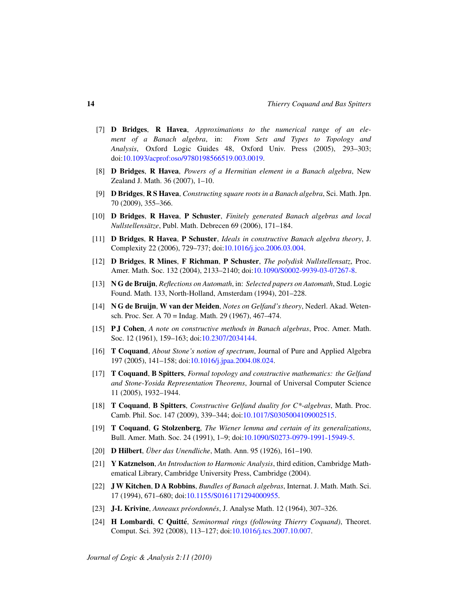- <span id="page-13-4"></span>[7] D Bridges, R Havea, *Approximations to the numerical range of an element of a Banach algebra*, in: *From Sets and Types to Topology and Analysis*, Oxford Logic Guides 48, Oxford Univ. Press (2005), 293–303; doi[:10.1093/acprof:oso/9780198566519.003.0019.](http://dx.doi.org/10.1093/acprof:oso/9780198566519.003.0019)
- <span id="page-13-7"></span>[8] D Bridges, R Havea, *Powers of a Hermitian element in a Banach algebra*, New Zealand J. Math. 36 (2007), 1–10.
- <span id="page-13-9"></span>[9] D Bridges, R S Havea, *Constructing square roots in a Banach algebra*, Sci. Math. Jpn. 70 (2009), 355–366.
- <span id="page-13-5"></span>[10] D Bridges, R Havea, P Schuster, *Finitely generated Banach algebras and local Nullstellensatze ¨* , Publ. Math. Debrecen 69 (2006), 171–184.
- <span id="page-13-6"></span>[11] D Bridges, R Havea, P Schuster, *Ideals in constructive Banach algebra theory*, J. Complexity 22 (2006), 729–737; doi[:10.1016/j.jco.2006.03.004.](http://dx.doi.org/10.1016/j.jco.2006.03.004)
- <span id="page-13-8"></span>[12] D Bridges, R Mines, F Richman, P Schuster, *The polydisk Nullstellensatz*, Proc. Amer. Math. Soc. 132 (2004), 2133–2140; doi[:10.1090/S0002-9939-03-07267-8.](http://dx.doi.org/10.1090/S0002-9939-03-07267-8)
- <span id="page-13-14"></span>[13] N G de Bruijn, *Reflections on Automath*, in: *Selected papers on Automath*, Stud. Logic Found. Math. 133, North-Holland, Amsterdam (1994), 201–228.
- <span id="page-13-1"></span>[14] N G de Bruijn, W van der Meiden, *Notes on Gelfand's theory*, Nederl. Akad. Wetensch. Proc. Ser. A 70 = Indag. Math. 29 (1967), 467–474.
- <span id="page-13-0"></span>[15] P J Cohen, *A note on constructive methods in Banach algebras*, Proc. Amer. Math. Soc. 12 (1961), 159–163; doi[:10.2307/2034144.](http://dx.doi.org/10.2307/2034144)
- <span id="page-13-16"></span>[16] T Coquand, *About Stone's notion of spectrum*, Journal of Pure and Applied Algebra 197 (2005), 141–158; doi[:10.1016/j.jpaa.2004.08.024.](http://dx.doi.org/10.1016/j.jpaa.2004.08.024)
- <span id="page-13-17"></span>[17] T Coquand, B Spitters, *Formal topology and constructive mathematics: the Gelfand and Stone-Yosida Representation Theorems*, Journal of Universal Computer Science 11 (2005), 1932–1944.
- <span id="page-13-10"></span>[18] T Coquand, B Spitters, *Constructive Gelfand duality for C\*-algebras*, Math. Proc. Camb. Phil. Soc. 147 (2009), 339–344; doi[:10.1017/S0305004109002515.](http://dx.doi.org/10.1017/S0305004109002515)
- <span id="page-13-2"></span>[19] T Coquand, G Stolzenberg, *The Wiener lemma and certain of its generalizations*, Bull. Amer. Math. Soc. 24 (1991), 1–9; doi[:10.1090/S0273-0979-1991-15949-5.](http://dx.doi.org/10.1090/S0273-0979-1991-15949-5)
- <span id="page-13-3"></span>[20] **D Hilbert**, *Über das Unendliche*, Math. Ann. 95 (1926), 161–190.
- <span id="page-13-13"></span>[21] Y Katznelson, *An Introduction to Harmonic Analysis*, third edition, Cambridge Mathematical Library, Cambridge University Press, Cambridge (2004).
- <span id="page-13-12"></span>[22] J W Kitchen, D A Robbins, *Bundles of Banach algebras*, Internat. J. Math. Math. Sci. 17 (1994), 671–680; doi[:10.1155/S0161171294000955.](http://dx.doi.org/10.1155/S0161171294000955)
- <span id="page-13-15"></span>[23] J-L Krivine, *Anneaux préordonnés*, J. Analyse Math. 12 (1964), 307-326.
- <span id="page-13-11"></span>[24] **H Lombardi, C Quitté**, *Seminormal rings (following Thierry Coquand)*, Theoret. Comput. Sci. 392 (2008), 113–127; doi[:10.1016/j.tcs.2007.10.007.](http://dx.doi.org/10.1016/j.tcs.2007.10.007)